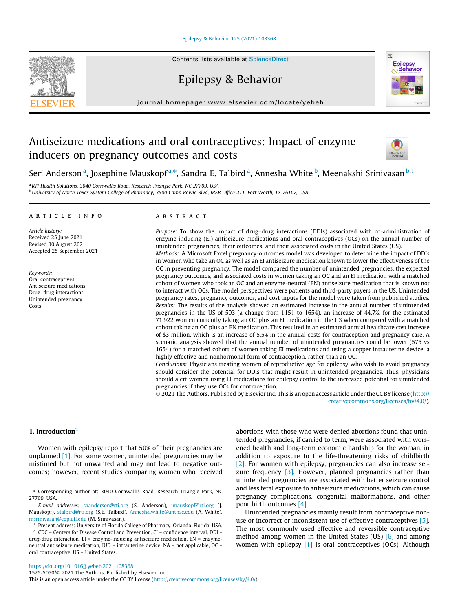#### [Epilepsy & Behavior 125 \(2021\) 108368](https://doi.org/10.1016/j.yebeh.2021.108368)

# Epilepsy & Behavior

journal homepage: [www.elsevier.com/locate/yebeh](http://www.elsevier.com/locate/yebeh)

# Antiseizure medications and oral contraceptives: Impact of enzyme inducers on pregnancy outcomes and costs



<sup>a</sup> RTI Health Solutions, 3040 Cornwallis Road, Research Triangle Park, NC 27709, USA <sup>b</sup> University of North Texas System College of Pharmacy, 3500 Camp Bowie Blvd, IREB Office 211, Fort Worth, TX 76107, USA

# article info

Article history: Received 25 June 2021 Revised 30 August 2021 Accepted 25 September 2021

Keywords: Oral contraceptives Antiseizure medications Drug–drug interactions Unintended pregnancy Costs

# **ABSTRACT**

Purpose: To show the impact of drug–drug interactions (DDIs) associated with co-administration of enzyme-inducing (EI) antiseizure medications and oral contraceptives (OCs) on the annual number of unintended pregnancies, their outcomes, and their associated costs in the United States (US). Methods: A Microsoft Excel pregnancy-outcomes model was developed to determine the impact of DDIs in women who take an OC as well as an EI antiseizure medication known to lower the effectiveness of the OC in preventing pregnancy. The model compared the number of unintended pregnancies, the expected pregnancy outcomes, and associated costs in women taking an OC and an EI medication with a matched cohort of women who took an OC and an enzyme-neutral (EN) antiseizure medication that is known not to interact with OCs. The model perspectives were patients and third-party payers in the US. Unintended pregnancy rates, pregnancy outcomes, and cost inputs for the model were taken from published studies. Results: The results of the analysis showed an estimated increase in the annual number of unintended pregnancies in the US of 503 (a change from 1151 to 1654), an increase of 44.7%, for the estimated 71,922 women currently taking an OC plus an EI medication in the US when compared with a matched cohort taking an OC plus an EN medication. This resulted in an estimated annual healthcare cost increase of \$3 million, which is an increase of 5.5% in the annual costs for contraception and pregnancy care. A scenario analysis showed that the annual number of unintended pregnancies could be lower (575 vs 1654) for a matched cohort of women taking EI medications and using a copper intrauterine device, a

highly effective and nonhormonal form of contraception, rather than an OC. Conclusions: Physicians treating women of reproductive age for epilepsy who wish to avoid pregnancy should consider the potential for DDIs that might result in unintended pregnancies. Thus, physicians should alert women using EI medications for epilepsy control to the increased potential for unintended pregnancies if they use OCs for contraception.

© 2021 The Authors. Published by Elsevier Inc. This is an open access article under the CC BY license ([http://](http://creativecommons.org/licenses/by/4.0/) [creativecommons.org/licenses/by/4.0/](http://creativecommons.org/licenses/by/4.0/)).

# 1. Introduction $2$

Women with epilepsy report that 50% of their pregnancies are unplanned [\[1\]](#page-6-0). For some women, unintended pregnancies may be mistimed but not unwanted and may not lead to negative outcomes; however, recent studies comparing women who received

abortions with those who were denied abortions found that unintended pregnancies, if carried to term, were associated with worsened health and long-term economic hardship for the woman, in addition to exposure to the life-threatening risks of childbirth [\[2\]](#page-6-0). For women with epilepsy, pregnancies can also increase sei-zure frequency [\[3\].](#page-6-0) However, planned pregnancies rather than unintended pregnancies are associated with better seizure control and less fetal exposure to antiseizure medications, which can cause pregnancy complications, congenital malformations, and other poor birth outcomes [\[4\].](#page-6-0)

Unintended pregnancies mainly result from contraceptive nonuse or incorrect or inconsistent use of effective contraceptives [\[5\].](#page-6-0) The most commonly used effective and reversible contraceptive method among women in the United States (US) [\[6\]](#page-6-0) and among women with epilepsy [\[1\]](#page-6-0) is oral contraceptives (OCs). Although





<sup>⇑</sup> Corresponding author at: 3040 Cornwallis Road, Research Triangle Park, NC 27709, USA.

E-mail addresses: [saanderson@rti.org](mailto:saanderson@rti.org) (S. Anderson), [jmauskopf@rti.org](mailto:jmauskopf@rti.org) (J. Mauskopf), [stalbird@rti.org](mailto:stalbird@rti.org) (S.E. Talbird), [Annesha.white@unthsc.edu](mailto:Annesha.white@unthsc.edu) (A. White), [msrinivasan@cop.ufl.edu](mailto:msrinivasan@cop.ufl.edu) (M. Srinivasan).

<sup>&</sup>lt;sup>1</sup> Present address: University of Florida College of Pharmacy, Orlando, Florida, USA.

 $2$  CDC = Centers for Disease Control and Prevention, CI = confidence interval, DDI = drug-drug interaction, EI = enzyme-inducing antiseizure medication, EN = enzymeneutral antiseizure medication, IUD = intrauterine device, NA = not applicable, OC = oral contraceptive, US = United States.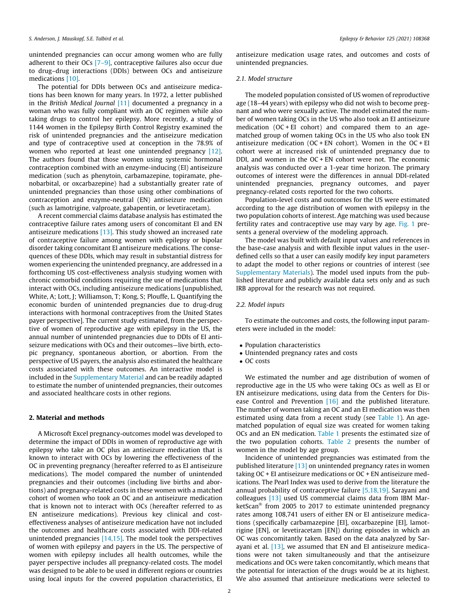unintended pregnancies can occur among women who are fully adherent to their OCs [\[7–9\]](#page-6-0), contraceptive failures also occur due to drug–drug interactions (DDIs) between OCs and antiseizure medications [\[10\].](#page-6-0)

The potential for DDIs between OCs and antiseizure medications has been known for many years. In 1972, a letter published in the British Medical Journal  $[11]$  documented a pregnancy in a woman who was fully compliant with an OC regimen while also taking drugs to control her epilepsy. More recently, a study of 1144 women in the Epilepsy Birth Control Registry examined the risk of unintended pregnancies and the antiseizure medication and type of contraceptive used at conception in the 78.9% of women who reported at least one unintended pregnancy [\[12\].](#page-6-0) The authors found that those women using systemic hormonal contraception combined with an enzyme-inducing (EI) antiseizure medication (such as phenytoin, carbamazepine, topiramate, phenobarbital, or oxcarbazepine) had a substantially greater rate of unintended pregnancies than those using other combinations of contraception and enzyme-neutral (EN) antiseizure medication (such as lamotrigine, valproate, gabapentin, or levetiracetam).

A recent commercial claims database analysis has estimated the contraceptive failure rates among users of concomitant EI and EN antiseizure medications [\[13\].](#page-6-0) This study showed an increased rate of contraceptive failure among women with epilepsy or bipolar disorder taking concomitant EI antiseizure medications. The consequences of these DDIs, which may result in substantial distress for women experiencing the unintended pregnancy, are addressed in a forthcoming US cost-effectiveness analysis studying women with chronic comorbid conditions requiring the use of medications that interact with OCs, including antiseizure medications [unpublished, White, A; Lott, J; Williamson, T; Kong, S; Plouffe, L. Quantifying the economic burden of unintended pregnancies due to drug-drug interactions with hormonal contraceptives from the United States payer perspective]. The current study estimated, from the perspective of women of reproductive age with epilepsy in the US, the annual number of unintended pregnancies due to DDIs of EI antiseizure medications with OCs and their outcomes—live birth, ectopic pregnancy, spontaneous abortion, or abortion. From the perspective of US payers, the analysis also estimated the healthcare costs associated with these outcomes. An interactive model is included in the Supplementary Material and can be readily adapted to estimate the number of unintended pregnancies, their outcomes and associated healthcare costs in other regions.

#### 2. Material and methods

A Microsoft Excel pregnancy-outcomes model was developed to determine the impact of DDIs in women of reproductive age with epilepsy who take an OC plus an antiseizure medication that is known to interact with OCs by lowering the effectiveness of the OC in preventing pregnancy (hereafter referred to as EI antiseizure medications). The model compared the number of unintended pregnancies and their outcomes (including live births and abortions) and pregnancy-related costs in these women with a matched cohort of women who took an OC and an antiseizure medication that is known not to interact with OCs (hereafter referred to as EN antiseizure medications). Previous key clinical and costeffectiveness analyses of antiseizure medication have not included the outcomes and healthcare costs associated with DDI-related unintended pregnancies [\[14,15\].](#page-6-0) The model took the perspectives of women with epilepsy and payers in the US. The perspective of women with epilepsy includes all health outcomes, while the payer perspective includes all pregnancy-related costs. The model was designed to be able to be used in different regions or countries using local inputs for the covered population characteristics, EI antiseizure medication usage rates, and outcomes and costs of unintended pregnancies.

#### 2.1. Model structure

The modeled population consisted of US women of reproductive age (18–44 years) with epilepsy who did not wish to become pregnant and who were sexually active. The model estimated the number of women taking OCs in the US who also took an EI antiseizure medication (OC + EI cohort) and compared them to an agematched group of women taking OCs in the US who also took EN antiseizure medication (OC + EN cohort). Women in the OC + EI cohort were at increased risk of unintended pregnancy due to DDI, and women in the OC + EN cohort were not. The economic analysis was conducted over a 1-year time horizon. The primary outcomes of interest were the differences in annual DDI-related unintended pregnancies, pregnancy outcomes, and payer pregnancy-related costs reported for the two cohorts.

Population-level costs and outcomes for the US were estimated according to the age distribution of women with epilepsy in the two population cohorts of interest. Age matching was used because fertility rates and contraceptive use may vary by age. [Fig. 1](#page-2-0) presents a general overview of the modeling approach.

The model was built with default input values and references in the base-case analysis and with flexible input values in the userdefined cells so that a user can easily modify key input parameters to adapt the model to other regions or countries of interest (see Supplementary Materials). The model used inputs from the published literature and publicly available data sets only and as such IRB approval for the research was not required.

## 2.2. Model inputs

To estimate the outcomes and costs, the following input parameters were included in the model:

- Population characteristics
- Unintended pregnancy rates and costs
- OC costs

We estimated the number and age distribution of women of reproductive age in the US who were taking OCs as well as EI or EN antiseizure medications, using data from the Centers for Dis-ease Control and Prevention [\[16\]](#page-6-0) and the published literature. The number of women taking an OC and an EI medication was then estimated using data from a recent study (see [Table 1](#page-3-0)). An agematched population of equal size was created for women taking OCs and an EN medication. [Table 1](#page-3-0) presents the estimated size of the two population cohorts. [Table 2](#page-3-0) presents the number of women in the model by age group.

Incidence of unintended pregnancies was estimated from the published literature [\[13\]](#page-6-0) on unintended pregnancy rates in women taking OC + EI antiseizure medications or OC + EN antiseizure medications. The Pearl Index was used to derive from the literature the annual probability of contraceptive failure [\[5,18,19\]](#page-6-0). Sarayani and colleagues [\[13\]](#page-6-0) used US commercial claims data from IBM MarketScan<sup>®</sup> from 2005 to 2017 to estimate unintended pregnancy rates among 108,741 users of either EN or EI antiseizure medications (specifically carbamazepine [EI], oxcarbazepine [EI], lamotrigine [EN], or levetiracetam [EN]) during episodes in which an OC was concomitantly taken. Based on the data analyzed by Sarayani et al. [\[13\],](#page-6-0) we assumed that EN and EI antiseizure medications were not taken simultaneously and that the antiseizure medications and OCs were taken concomitantly, which means that the potential for interaction of the drugs would be at its highest. We also assumed that antiseizure medications were selected to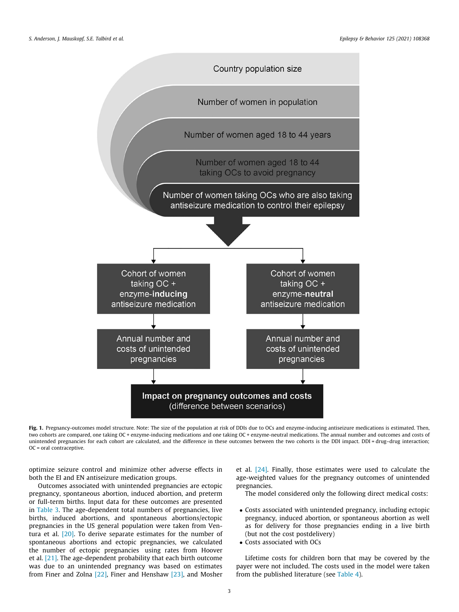<span id="page-2-0"></span>

Fig. 1. Pregnancy-outcomes model structure. Note: The size of the population at risk of DDIs due to OCs and enzyme-inducing antiseizure medications is estimated. Then, two cohorts are compared, one taking OC + enzyme-inducing medications and one taking OC + enzyme-neutral medications. The annual number and outcomes and costs of unintended pregnancies for each cohort are calculated, and the difference in these outcomes between the two cohorts is the DDI impact. DDI = drug–drug interaction; OC = oral contraceptive.

optimize seizure control and minimize other adverse effects in both the EI and EN antiseizure medication groups.

Outcomes associated with unintended pregnancies are ectopic pregnancy, spontaneous abortion, induced abortion, and preterm or full-term births. Input data for these outcomes are presented in [Table 3](#page-4-0). The age-dependent total numbers of pregnancies, live births, induced abortions, and spontaneous abortions/ectopic pregnancies in the US general population were taken from Ventura et al. [\[20\].](#page-6-0) To derive separate estimates for the number of spontaneous abortions and ectopic pregnancies, we calculated the number of ectopic pregnancies using rates from Hoover et al. [\[21\].](#page-6-0) The age-dependent probability that each birth outcome was due to an unintended pregnancy was based on estimates from Finer and Zolna [\[22\],](#page-6-0) Finer and Henshaw [\[23\],](#page-6-0) and Mosher et al. [\[24\].](#page-6-0) Finally, those estimates were used to calculate the age-weighted values for the pregnancy outcomes of unintended pregnancies.

The model considered only the following direct medical costs:

- Costs associated with unintended pregnancy, including ectopic pregnancy, induced abortion, or spontaneous abortion as well as for delivery for those pregnancies ending in a live birth (but not the cost postdelivery)
- Costs associated with OCs

Lifetime costs for children born that may be covered by the payer were not included. The costs used in the model were taken from the published literature (see [Table 4\)](#page-4-0).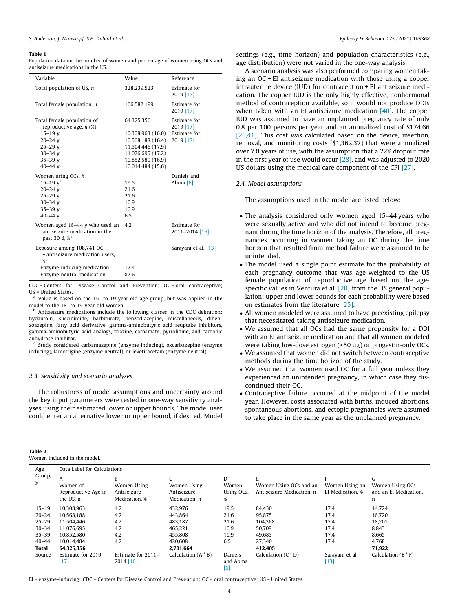#### <span id="page-3-0"></span>Table 1

Population data on the number of women and percentage of women using OCs and antiseizure medications in the US.

| Estimate for<br>Total population of US, n<br>328,239,523<br>2019 [17]<br>Estimate for<br>Total female population, n<br>166,582,199<br>2019 [17]<br>Total female population of<br>Estimate for<br>64,325,356<br>reproductive age, $n$ (%)<br>2019 [17]<br><b>Estimate for</b><br>$15 - 19$ v<br>10,308,963 (16.0)<br>2019 [17]<br>$20 - 24y$<br>10,568,188 (16.4)<br>$25 - 29$ v<br>11,504,446 (17.9)<br>$30 - 34$ v<br>11,076,695 (17.2)<br>$35 - 39$ v<br>10,852,580 (16.9)<br>40-44 $v$<br>10,014,484 (15.6)<br>Women using OCs, %<br>Daniels and<br>$15 - 19$ $v^a$<br>19.5<br>Abma [6]<br>21.6<br>$20 - 24y$<br>$25 - 29$ v<br>21.6<br>$30 - 34y$<br>10.9<br>10.9<br>$35 - 39$ v<br>$40 - 44$ v<br>6.5<br>Estimate for<br>Women aged 18-44 y who used an<br>42<br>antiseizure medication in the<br>2011-2014 [16]<br>past 30 d, $\frac{8}{9}$<br>Exposure among 108,741 OC<br>Sarayani et al. [13]<br>+ antiseizure medication users.<br>$\frac{9}{6}$<br>Enzyme-inducing medication<br>17.4<br>Enzyme-neutral medication<br>82.6 | Variable | Value | Reference |
|---------------------------------------------------------------------------------------------------------------------------------------------------------------------------------------------------------------------------------------------------------------------------------------------------------------------------------------------------------------------------------------------------------------------------------------------------------------------------------------------------------------------------------------------------------------------------------------------------------------------------------------------------------------------------------------------------------------------------------------------------------------------------------------------------------------------------------------------------------------------------------------------------------------------------------------------------------------------------------------------------------------------------------------|----------|-------|-----------|
|                                                                                                                                                                                                                                                                                                                                                                                                                                                                                                                                                                                                                                                                                                                                                                                                                                                                                                                                                                                                                                       |          |       |           |
|                                                                                                                                                                                                                                                                                                                                                                                                                                                                                                                                                                                                                                                                                                                                                                                                                                                                                                                                                                                                                                       |          |       |           |
|                                                                                                                                                                                                                                                                                                                                                                                                                                                                                                                                                                                                                                                                                                                                                                                                                                                                                                                                                                                                                                       |          |       |           |
|                                                                                                                                                                                                                                                                                                                                                                                                                                                                                                                                                                                                                                                                                                                                                                                                                                                                                                                                                                                                                                       |          |       |           |
|                                                                                                                                                                                                                                                                                                                                                                                                                                                                                                                                                                                                                                                                                                                                                                                                                                                                                                                                                                                                                                       |          |       |           |
|                                                                                                                                                                                                                                                                                                                                                                                                                                                                                                                                                                                                                                                                                                                                                                                                                                                                                                                                                                                                                                       |          |       |           |
|                                                                                                                                                                                                                                                                                                                                                                                                                                                                                                                                                                                                                                                                                                                                                                                                                                                                                                                                                                                                                                       |          |       |           |
|                                                                                                                                                                                                                                                                                                                                                                                                                                                                                                                                                                                                                                                                                                                                                                                                                                                                                                                                                                                                                                       |          |       |           |
|                                                                                                                                                                                                                                                                                                                                                                                                                                                                                                                                                                                                                                                                                                                                                                                                                                                                                                                                                                                                                                       |          |       |           |
|                                                                                                                                                                                                                                                                                                                                                                                                                                                                                                                                                                                                                                                                                                                                                                                                                                                                                                                                                                                                                                       |          |       |           |
|                                                                                                                                                                                                                                                                                                                                                                                                                                                                                                                                                                                                                                                                                                                                                                                                                                                                                                                                                                                                                                       |          |       |           |
|                                                                                                                                                                                                                                                                                                                                                                                                                                                                                                                                                                                                                                                                                                                                                                                                                                                                                                                                                                                                                                       |          |       |           |
|                                                                                                                                                                                                                                                                                                                                                                                                                                                                                                                                                                                                                                                                                                                                                                                                                                                                                                                                                                                                                                       |          |       |           |
|                                                                                                                                                                                                                                                                                                                                                                                                                                                                                                                                                                                                                                                                                                                                                                                                                                                                                                                                                                                                                                       |          |       |           |
|                                                                                                                                                                                                                                                                                                                                                                                                                                                                                                                                                                                                                                                                                                                                                                                                                                                                                                                                                                                                                                       |          |       |           |
|                                                                                                                                                                                                                                                                                                                                                                                                                                                                                                                                                                                                                                                                                                                                                                                                                                                                                                                                                                                                                                       |          |       |           |
|                                                                                                                                                                                                                                                                                                                                                                                                                                                                                                                                                                                                                                                                                                                                                                                                                                                                                                                                                                                                                                       |          |       |           |
|                                                                                                                                                                                                                                                                                                                                                                                                                                                                                                                                                                                                                                                                                                                                                                                                                                                                                                                                                                                                                                       |          |       |           |
|                                                                                                                                                                                                                                                                                                                                                                                                                                                                                                                                                                                                                                                                                                                                                                                                                                                                                                                                                                                                                                       |          |       |           |
|                                                                                                                                                                                                                                                                                                                                                                                                                                                                                                                                                                                                                                                                                                                                                                                                                                                                                                                                                                                                                                       |          |       |           |

CDC = Centers for Disease Control and Prevention; OC = oral contraceptive; US = United States.

Value is based on the 15- to 19-year-old age group, but was applied in the model to the 18- to 19-year-old women.

b Antiseizure medications include the following classes in the CDC definition: hydantoin, succinimide, barbiturate, benzodiazepine, miscellaneous, dibenzoazepine, fatty acid derivative, gamma-aminobutyric acid reuptake inhibitors, gamma-aminobutyric acid analogs, triazine, carbamate, pyrrolidine, and carbonic anhydrase inhibitor.

 $\epsilon$  Study considered carbamazepine (enzyme inducing), oxcarbazepine (enzyme inducing), lamotrigine (enzyme neutral), or levetiracetam (enzyme neutral).

#### 2.3. Sensitivity and scenario analyses

The robustness of model assumptions and uncertainty around the key input parameters were tested in one-way sensitivity analyses using their estimated lower or upper bounds. The model user could enter an alternative lower or upper bound, if desired. Model

|--|--|

Women included in the model.

settings (e.g., time horizon) and population characteristics (e.g., age distribution) were not varied in the one-way analysis.

A scenario analysis was also performed comparing women taking an OC + EI antiseizure medication with those using a copper intrauterine device (IUD) for contraception + EI antiseizure medication. The copper IUD is the only highly effective, nonhormonal method of contraception available, so it would not produce DDIs when taken with an EI antiseizure medication  $[40]$ . The copper IUD was assumed to have an unplanned pregnancy rate of only 0.8 per 100 persons per year and an annualized cost of \$174.66 [\[26,41\]](#page-6-0). This cost was calculated based on the device, insertion, removal, and monitoring costs (\$1,362.37) that were annualized over 7.8 years of use, with the assumption that a 22% dropout rate in the first year of use would occur [\[28\]](#page-6-0), and was adjusted to 2020 US dollars using the medical care component of the CPI [\[27\].](#page-6-0)

#### 2.4. Model assumptions

The assumptions used in the model are listed below:

- The analysis considered only women aged 15–44 years who were sexually active and who did not intend to become pregnant during the time horizon of the analysis. Therefore, all pregnancies occurring in women taking an OC during the time horizon that resulted from method failure were assumed to be unintended.
- The model used a single point estimate for the probability of each pregnancy outcome that was age-weighted to the US female population of reproductive age based on the agespecific values in Ventura et al. [\[20\]](#page-6-0) from the US general population; upper and lower bounds for each probability were based on estimates from the literature [\[25\].](#page-6-0)
- All women modeled were assumed to have preexisting epilepsy that necessitated taking antiseizure medication.
- We assumed that all OCs had the same propensity for a DDI with an EI antiseizure medication and that all women modeled were taking low-dose estrogen  $(50 \mu g)$  or progestin-only OCs.
- We assumed that women did not switch between contraceptive methods during the time horizon of the study.
- We assumed that women used OC for a full year unless they experienced an unintended pregnancy, in which case they discontinued their OC.
- Contraceptive failure occurred at the midpoint of the model year. However, costs associated with births, induced abortions, spontaneous abortions, and ectopic pregnancies were assumed to take place in the same year as the unplanned pregnancy.

| Age                    | Data Label for Calculations                  |                                                  |                                             |                               |                                                          |                                    |                                                    |
|------------------------|----------------------------------------------|--------------------------------------------------|---------------------------------------------|-------------------------------|----------------------------------------------------------|------------------------------------|----------------------------------------------------|
| Group,                 | Women of<br>Reproductive Age in<br>the US, n | B<br>Women Using<br>Antiseizure<br>Medication, % | Women Using<br>Antiseizure<br>Medication, n | D<br>Women<br>Using OCs,<br>% | E<br>Women Using OCs and an<br>Antiseizure Medication, n | Women Using an<br>EI Medication, % | G<br>Women Using OCs<br>and an EI Medication.<br>n |
| $15 - 19$<br>$20 - 24$ | 10.308.963<br>10.568.188                     | 4.2<br>4.2                                       | 432.976<br>443.864                          | 19.5<br>21.6                  | 84.430<br>95.875                                         | 17.4<br>17.4                       | 14.724<br>16.720                                   |
| $25 - 29$              | 11.504.446                                   | 4.2                                              | 483.187                                     | 21.6                          | 104.368                                                  | 17.4                               | 18.201                                             |
| $30 - 34$              | 11,076,695                                   | 4.2                                              | 465,221                                     | 10.9                          | 50,709                                                   | 17.4                               | 8,843                                              |
| $35 - 39$              | 10.852.580                                   | 4.2                                              | 455,808                                     | 10.9                          | 49.683                                                   | 17.4                               | 8,665                                              |
| $40 - 44$              | 10.014.484                                   | 4.2                                              | 420.608                                     | 6.5                           | 27.340                                                   | 17.4                               | 4,768                                              |
| <b>Total</b>           | 64,325,356                                   |                                                  | 2,701,664                                   |                               | 412,405                                                  |                                    | 71,922                                             |
| Source                 | Estimate for 2019<br>$[17]$                  | Estimate for 2011-<br>$2014$ [16]                | Calculation $(A * B)$                       | Daniels<br>and Abma<br>[6]    | Calculation $(C * D)$                                    | Sarayani et al.<br>[13]            | Calculation $(E * F)$                              |

EI = enzyme-inducing; CDC = Centers for Disease Control and Prevention; OC = oral contraceptive; US = United States.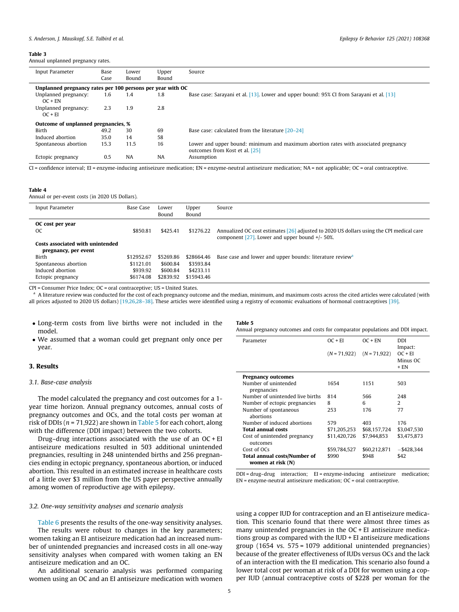<span id="page-4-0"></span>Annual unplanned pregnancy rates.

| Input Parameter                                            | Base<br>Case | Lower<br>Bound | Upper<br>Bound | Source                                                                                                                |
|------------------------------------------------------------|--------------|----------------|----------------|-----------------------------------------------------------------------------------------------------------------------|
| Unplanned pregnancy rates per 100 persons per year with OC |              |                |                |                                                                                                                       |
| Unplanned pregnancy:<br>$OC + EN$                          | 1.6          | 1.4            | 1.8            | Base case: Sarayani et al. [13]. Lower and upper bound: 95% CI from Sarayani et al. [13]                              |
| Unplanned pregnancy:<br>$OC + EI$                          | 2.3          | 1.9            | 2.8            |                                                                                                                       |
| Outcome of unplanned pregnancies, %                        |              |                |                |                                                                                                                       |
| Birth                                                      | 49.2         | 30             | 69             | Base case: calculated from the literature $[20-24]$                                                                   |
| Induced abortion                                           | 35.0         | 14             | 58             |                                                                                                                       |
| Spontaneous abortion                                       | 15.3         | 11.5           | 16             | Lower and upper bound: minimum and maximum abortion rates with associated pregnancy<br>outcomes from Kost et al. [25] |
| Ectopic pregnancy                                          | 0.5          | NA             | <b>NA</b>      | Assumption                                                                                                            |

 $C =$ confidence interval; EI = enzyme-inducing antiseizure medication; EN = enzyme-neutral antiseizure medication; NA = not applicable;  $OC =$  oral contraceptive.

#### Table 4

Annual or per-event costs (in 2020 US Dollars).

| Input Parameter                                                                                                                                                                                                                                                                                                             | <b>Base Case</b> | Lower<br>Bound | Upper<br>Bound | Source                                                                                                                                        |
|-----------------------------------------------------------------------------------------------------------------------------------------------------------------------------------------------------------------------------------------------------------------------------------------------------------------------------|------------------|----------------|----------------|-----------------------------------------------------------------------------------------------------------------------------------------------|
| OC cost per year<br><sub>OC</sub>                                                                                                                                                                                                                                                                                           | \$850.81         | \$425.41       | \$1276.22      | Annualized OC cost estimates [26] adjusted to 2020 US dollars using the CPI medical care<br>component [27]. Lower and upper bound $+/-50\%$ . |
| Costs associated with unintended<br>pregnancy, per event                                                                                                                                                                                                                                                                    |                  |                |                |                                                                                                                                               |
| Birth                                                                                                                                                                                                                                                                                                                       | \$12952.67       | \$5269.86      | \$28664.46     | Base case and lower and upper bounds: literature review <sup>a</sup>                                                                          |
| Spontaneous abortion                                                                                                                                                                                                                                                                                                        | \$1121.01        | \$600.84       | \$3593.84      |                                                                                                                                               |
| Induced abortion                                                                                                                                                                                                                                                                                                            | \$939.92         | \$600.84       | \$4233.11      |                                                                                                                                               |
| Ectopic pregnancy                                                                                                                                                                                                                                                                                                           | \$6174.08        | \$2839.92      | \$15943.46     |                                                                                                                                               |
| $\mathbf{m}$ $\mathbf{c}$ $\mathbf{c}$ $\mathbf{c}$ $\mathbf{c}$ $\mathbf{c}$ and $\mathbf{c}$ $\mathbf{c}$ $\mathbf{c}$ $\mathbf{c}$ $\mathbf{c}$ $\mathbf{c}$ $\mathbf{c}$ $\mathbf{c}$ $\mathbf{c}$ $\mathbf{c}$ $\mathbf{c}$ $\mathbf{c}$ $\mathbf{c}$ $\mathbf{c}$ $\mathbf{c}$ $\mathbf{c}$ $\mathbf{c}$ $\mathbf{c}$ |                  |                |                |                                                                                                                                               |

CPI = Consumer Price Index; OC = oral contraceptive; US = United States.

a A literature review was conducted for the cost of each pregnancy outcome and the median, minimum, and maximum costs across the cited articles were calculated (with

all prices adjusted to 2020 US dollars) [\[19,26,28–38\]](#page-6-0). These articles were identified using a registry of economic evaluations of hormonal contraceptives [\[39\]](#page-7-0).

- Long-term costs from live births were not included in the model.
- We assumed that a woman could get pregnant only once per year.

## 3. Results

## 3.1. Base-case analysis

The model calculated the pregnancy and cost outcomes for a 1 year time horizon. Annual pregnancy outcomes, annual costs of pregnancy outcomes and OCs, and the total costs per woman at risk of DDIs ( $n = 71,922$ ) are shown in Table 5 for each cohort, along with the difference (DDI impact) between the two cohorts.

Drug–drug interactions associated with the use of an OC + EI antiseizure medications resulted in 503 additional unintended pregnancies, resulting in 248 unintended births and 256 pregnancies ending in ectopic pregnancy, spontaneous abortion, or induced abortion. This resulted in an estimated increase in healthcare costs of a little over \$3 million from the US payer perspective annually among women of reproductive age with epilepsy.

#### 3.2. One-way sensitivity analyses and scenario analysis

[Table 6](#page-5-0) presents the results of the one-way sensitivity analyses. The results were robust to changes in the key parameters; women taking an EI antiseizure medication had an increased number of unintended pregnancies and increased costs in all one-way sensitivity analyses when compared with women taking an EN antiseizure medication and an OC.

An additional scenario analysis was performed comparing women using an OC and an EI antiseizure medication with women

#### Table 5

Annual pregnancy outcomes and costs for comparator populations and DDI impact.

| Parameter                        | $OC + EI$    | $OC + EN$                     | DDI<br>Impact: |
|----------------------------------|--------------|-------------------------------|----------------|
|                                  |              | $(N = 71.922)$ $(N = 71.922)$ | $OC + EI$      |
|                                  |              |                               | Minus OC       |
|                                  |              |                               | $+ EN$         |
| <b>Pregnancy outcomes</b>        |              |                               |                |
| Number of unintended             | 1654         | 1151                          | 503            |
| pregnancies                      |              |                               |                |
| Number of unintended live births | 814          | 566                           | 248            |
| Number of ectopic pregnancies    | 8            | 6                             | $\mathcal{L}$  |
| Number of spontaneous            | 253          | 176                           | 77             |
| abortions                        |              |                               |                |
| Number of induced abortions      | 579          | 403                           | 176            |
| <b>Total annual costs</b>        | \$71,205,253 | \$68,157,724                  | \$3.047.530    |
| Cost of unintended pregnancy     | \$11.420.726 | \$7.944.853                   | \$3,475,873    |
| outcomes                         |              |                               |                |
| Cost of OCs                      | \$59,784,527 | \$60,212,871                  | -\$428,344     |
| Total annual costs/Number of     | \$990        | \$948                         | \$42           |
| women at risk (N)                |              |                               |                |

DDI = drug–drug interaction; EI = enzyme-inducing antiseizure medication; EN = enzyme-neutral antiseizure medication; OC = oral contraceptive.

using a copper IUD for contraception and an EI antiseizure medication. This scenario found that there were almost three times as many unintended pregnancies in the OC + EI antiseizure medications group as compared with the IUD + EI antiseizure medications group (1654 vs. 575 = 1079 additional unintended pregnancies) because of the greater effectiveness of IUDs versus OCs and the lack of an interaction with the EI medication. This scenario also found a lower total cost per woman at risk of a DDI for women using a copper IUD (annual contraceptive costs of \$228 per woman for the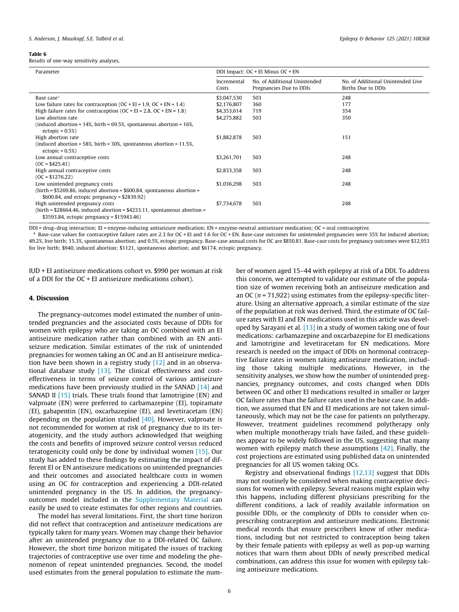#### <span id="page-5-0"></span>Table 6

Results of one-way sensitivity analyses.

| Parameter                                                                                              | DDI Impact: OC + EI Minus OC + EN |                                                         |                                                         |  |  |  |
|--------------------------------------------------------------------------------------------------------|-----------------------------------|---------------------------------------------------------|---------------------------------------------------------|--|--|--|
|                                                                                                        | Incremental<br>Costs              | No. of Additional Unintended<br>Pregnancies Due to DDIs | No. of Additional Unintended Live<br>Births Due to DDIs |  |  |  |
| Base case <sup>a</sup>                                                                                 | \$3,047,530                       | 503                                                     | 248                                                     |  |  |  |
| Low failure rates for contraception ( $OC + EI = 1.9$ , $OC + EN = 1.4$ )                              | \$2,176,807                       | 360                                                     | 177                                                     |  |  |  |
| High failure rates for contraception $(OC + EI = 2.8, OC + EN = 1.8)$                                  | \$4.353.614                       | 719                                                     | 354                                                     |  |  |  |
| Low abortion rate                                                                                      | \$4,275,882                       | 503                                                     | 350                                                     |  |  |  |
| (induced abortion = $14\%$ , birth = $69.5\%$ , spontaneous abortion = $16\%$ ,<br>ectopic = $0.5\%$ ) |                                   |                                                         |                                                         |  |  |  |
| High abortion rate                                                                                     | \$1,882,878                       | 503                                                     | 151                                                     |  |  |  |
| (induced abortion = 58%, birth = 30%, spontaneous abortion = $11.5\%$ ,<br>ectopic = $0.5%$ )          |                                   |                                                         |                                                         |  |  |  |
| Low annual contraceptive costs                                                                         | \$3,261,701                       | 503                                                     | 248                                                     |  |  |  |
| $(OC = $425.41)$                                                                                       |                                   |                                                         |                                                         |  |  |  |
| High annual contraceptive costs                                                                        | \$2,833,358                       | 503                                                     | 248                                                     |  |  |  |
| $(OC = $1276.22)$                                                                                      |                                   |                                                         |                                                         |  |  |  |
| Low unintended pregnancy costs                                                                         | \$1.036.298                       | 503                                                     | 248                                                     |  |  |  |

High unintended pregnancy costs \$7,734,678 503 248  $(birth = $28664.46, induced abortion = $4233.11, spontaneous abortion =$ \$3593.84, ectopic pregnancy = \$15943.46)

DDI = drug–drug interaction; EI = enzyme-inducing antiseizure medication; EN = enzyme-neutral antiseizure medication; OC = oral contraceptive.

<sup>a</sup> Base-case values for contraceptive failure rates are 2.3 for OC + EI and 1.6 for OC + EN. Base-case outcomes for unintended pregnancies were 35% for induced abortion; 49.2%, live birth; 15.3%, spontaneous abortion; and 0.5%, ectopic pregnancy. Base-case annual costs for OC are \$850.81. Base-case costs for pregnancy outcomes were \$12,953 for live birth; \$940, induced abortion; \$1121, spontaneous abortion; and \$6174, ectopic pregnancy.

IUD + EI antiseizure medications cohort vs. \$990 per woman at risk of a DDI for the OC + EI antiseizure medications cohort).

(birth = \$5269.86, induced abortion = \$600.84, spontaneous abortion =

\$600.84, and ectopic pregnancy = \$2839.92)

## 4. Discussion

The pregnancy-outcomes model estimated the number of unintended pregnancies and the associated costs because of DDIs for women with epilepsy who are taking an OC combined with an EI antiseizure medication rather than combined with an EN antiseizure medication. Similar estimates of the risk of unintended pregnancies for women taking an OC and an EI antiseizure medication have been shown in a registry study [\[12\]](#page-6-0) and in an observational database study [\[13\].](#page-6-0) The clinical effectiveness and costeffectiveness in terms of seizure control of various antiseizure medications have been previously studied in the SANAD [\[14\]](#page-6-0) and SANAD II [\[15\]](#page-6-0) trials. These trials found that lamotrigine (EN) and valproate (EN) were preferred to carbamazepine (EI), topiramate (EI), gabapentin (EN), oxcarbazepine (EI), and levetiracetam (EN) depending on the population studied  $[40]$ . However, valproate is not recommended for women at risk of pregnancy due to its teratogenicity, and the study authors acknowledged that weighing the costs and benefits of improved seizure control versus reduced teratogenicity could only be done by individual women [\[15\].](#page-6-0) Our study has added to these findings by estimating the impact of different EI or EN antiseizure medications on unintended pregnancies and their outcomes and associated healthcare costs in women using an OC for contraception and experiencing a DDI-related unintended pregnancy in the US. In addition, the pregnancyoutcomes model included in the Supplementary Material can easily be used to create estimates for other regions and countries.

The model has several limitations. First, the short time horizon did not reflect that contraception and antiseizure medications are typically taken for many years. Women may change their behavior after an unintended pregnancy due to a DDI-related OC failure. However, the short time horizon mitigated the issues of tracking trajectories of contraceptive use over time and modeling the phenomenon of repeat unintended pregnancies. Second, the model used estimates from the general population to estimate the number of women aged 15–44 with epilepsy at risk of a DDI. To address this concern, we attempted to validate our estimate of the population size of women receiving both an antiseizure medication and an OC ( $n = 71,922$ ) using estimates from the epilepsy-specific literature. Using an alternative approach, a similar estimate of the size of the population at risk was derived. Third, the estimate of OC failure rates with EI and EN medications used in this article was developed by Sarayani et al. [\[13\]](#page-6-0) in a study of women taking one of four medications: carbamazepine and oxcarbazepine for EI medications and lamotrigine and levetiracetam for EN medications. More research is needed on the impact of DDIs on hormonal contraceptive failure rates in women taking antiseizure medication, including those taking multiple medications. However, in the sensitivity analyses, we show how the number of unintended pregnancies, pregnancy outcomes, and costs changed when DDIs between OC and other EI medications resulted in smaller or larger OC failure rates than the failure rates used in the base case. In addition, we assumed that EN and EI medications are not taken simultaneously, which may not be the case for patients on polytherapy. However, treatment guidelines recommend polytherapy only when multiple monotherapy trials have failed, and these guidelines appear to be widely followed in the US, suggesting that many women with epilepsy match these assumptions [\[42\].](#page-7-0) Finally, the cost projections are estimated using published data on unintended pregnancies for all US women taking OCs.

Registry and observational findings [\[12,13\]](#page-6-0) suggest that DDIs may not routinely be considered when making contraceptive decisions for women with epilepsy. Several reasons might explain why this happens, including different physicians prescribing for the different conditions, a lack of readily available information on possible DDIs, or the complexity of DDIs to consider when coprescribing contraception and antiseizure medications. Electronic medical records that ensure prescribers know of other medications, including but not restricted to contraception being taken by their female patients with epilepsy as well as pop-up warning notices that warn them about DDIs of newly prescribed medical combinations, can address this issue for women with epilepsy taking antiseizure medications.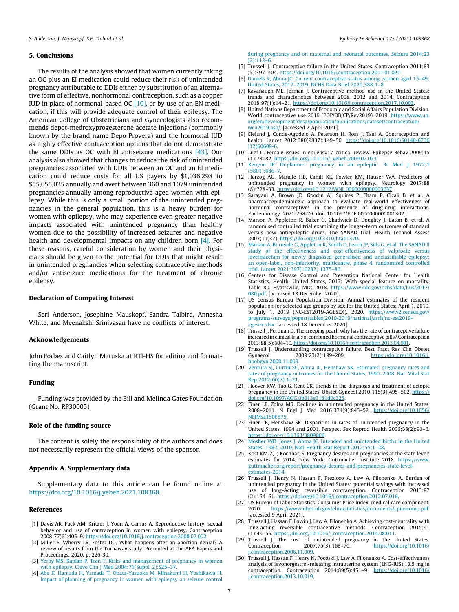## <span id="page-6-0"></span>5. Conclusions

The results of the analysis showed that women currently taking an OC plus an EI medication could reduce their risk of unintended pregnancy attributable to DDIs either by substitution of an alternative form of effective, nonhormonal contraception, such as a copper IUD in place of hormonal-based OC  $[10]$ , or by use of an EN medication, if this will provide adequate control of their epilepsy. The American College of Obstetricians and Gynecologists also recommends depot-medroxyprogesterone acetate injections (commonly known by the brand name Depo Provera) and the hormonal IUD as highly effective contraception options that do not demonstrate the same DDIs as OC with EI antiseizure medications [\[43\].](#page-7-0) Our analysis also showed that changes to reduce the risk of unintended pregnancies associated with DDIs between an OC and an EI medication could reduce costs for all US payers by \$1,036,298 to \$55,655,035 annually and avert between 360 and 1079 unintended pregnancies annually among reproductive-aged women with epilepsy. While this is only a small portion of the unintended pregnancies in the general population, this is a heavy burden for women with epilepsy, who may experience even greater negative impacts associated with unintended pregnancy than healthy women due to the possibility of increased seizures and negative health and developmental impacts on any children born [4]. For these reasons, careful consideration by women and their physicians should be given to the potential for DDIs that might result in unintended pregnancies when selecting contraceptive methods and/or antiseizure medications for the treatment of chronic epilepsy.

## Declaration of Competing Interest

Seri Anderson, Josephine Mauskopf, Sandra Talbird, Annesha White, and Meenakshi Srinivasan have no conflicts of interest.

#### Acknowledgements

John Forbes and Caitlyn Matuska at RTI-HS for editing and formatting the manuscript.

## Funding

Funding was provided by the Bill and Melinda Gates Foundation (Grant No. RP30005).

## Role of the funding source

The content is solely the responsibility of the authors and does not necessarily represent the official views of the sponsor.

### Appendix A. Supplementary data

Supplementary data to this article can be found online at [https://doi.org/10.1016/j.yebeh.2021.108368.](https://doi.org/10.1016/j.yebeh.2021.108368)

# References

- [1] Davis AR, Pack AM, Kritzer J, Yoon A, Camus A. Reproductive history, sexual behavior and use of contraception in women with epilepsy. Contraception 2008;77(6):405–9. [https://doi.org/10.1016/j.contraception.2008.02.002.](https://doi.org/10.1016/j.contraception.2008.02.002)
- [2] Miller S, Wherry LR, Foster DG. What happens after an abortion denial? A review of results from the Turnaway study. Presented at the AEA Papers and Proceedings. 2020. p. 226-30.
- [3] [Yerby MS, Kaplan P, Tran T. Risks and management of pregnancy in women](http://refhub.elsevier.com/S1525-5050(21)00629-6/h0015) [with epilepsy. Cleve Clin J Med 2004;71\(Suppl\\_2\):S25–37.](http://refhub.elsevier.com/S1525-5050(21)00629-6/h0015)
- [4] [Abe K, Hamada H, Yamada T, Obata-Yasuoka M, Minakami H, Yoshikawa H.](http://refhub.elsevier.com/S1525-5050(21)00629-6/h0020) [Impact of planning of pregnancy in women with epilepsy on seizure control](http://refhub.elsevier.com/S1525-5050(21)00629-6/h0020)

[during pregnancy and on maternal and neonatal outcomes. Seizure 2014;23](http://refhub.elsevier.com/S1525-5050(21)00629-6/h0020)  $(2):112-6$ 

- [5] Trussell J. Contraceptive failure in the United States. Contraception 2011;83 (5):397–404. [https://doi.org/10.1016/j.contraception.2011.01.021.](https://doi.org/10.1016/j.contraception.2011.01.021)
- [6] [Daniels K, Abma JC. Current contraceptive status among women aged 15–49:](http://refhub.elsevier.com/S1525-5050(21)00629-6/h0030) [United States, 2017–2019. NCHS Data Brief 2020;388:1–8.](http://refhub.elsevier.com/S1525-5050(21)00629-6/h0030)
- [7] Kavanaugh ML, Jerman J. Contraceptive method use in the United States: trends and characteristics between 2008, 2012 and 2014. Contraception 2018;97(1):14–21. <https://doi.org/10.1016/j.contraception.2017.10.003>.
- [8] United Nations Department of Economic and Social Affairs Population Division. World contraceptive use 2019 (POP/DB/CP/Rev2019). 2019. [https://www.un.](https://www.un.org/en/development/desa/population/publications/dataset/contraception/wcu2019.asp/) [org/en/development/desa/population/publications/dataset/contraception/](https://www.un.org/en/development/desa/population/publications/dataset/contraception/wcu2019.asp/) [wcu2019.asp/.](https://www.un.org/en/development/desa/population/publications/dataset/contraception/wcu2019.asp/) [accessed 2 April 2021].
- [9] Cleland J, Conde-Agudelo A, Peterson H, Ross J, Tsui A. Contraception and health. Lancet 2012;380(9837):149–56. [https://doi.org/10.1016/S0140-6736](https://doi.org/10.1016/S0140-6736(12)60609-6) [\(12\)60609-6](https://doi.org/10.1016/S0140-6736(12)60609-6).
- [10] Luef G. Female issues in epilepsy: a critical review. Epilepsy Behav 2009;15 (1):78–82. <https://doi.org/10.1016/j.yebeh.2009.02.023>.
- [11] [Kenyon IE. Unplanned pregnancy in an epileptic. Br Med J 1972;1](http://refhub.elsevier.com/S1525-5050(21)00629-6/h0055) [\(5801\):686–7.](http://refhub.elsevier.com/S1525-5050(21)00629-6/h0055)
- [12] Herzog AG, Mandle HB, Cahill KE, Fowler KM, Hauser WA. Predictors of unintended pregnancy in women with epilepsy. Neurology 2017;88 (8):728–33. <https://doi.org/10.1212/WNL.0000000000003637>.
- [13] Sarayani A, Brown JD, Goodin AJ, Squires P, Pham P, Cicali B, et al. A pharmacoepidemiologic approach to evaluate real-world effectiveness of hormonal contraceptives in the presence of drug-drug interactions. Epidemiology. 2021:268-76. doi: 10.1097/EDE.0000000000001302.
- [14] Marson A, Appleton R, Baker G, Chadwick D, Doughty J, Eaton B, et al. A randomised controlled trial examining the longer-term outcomes of standard versus new antiepileptic drugs. The SANAD trial. Health Technol Assess 2007;11(37). [https://doi.org/10.3310/hta11370.](https://doi.org/10.3310/hta11370)
- [15] [Marson A, Burnside G, Appleton R, Smith D, Leach JP, Sills G, et al. The SANAD II](http://refhub.elsevier.com/S1525-5050(21)00629-6/h0075) [study of the effectiveness and cost-effectiveness of valproate versus](http://refhub.elsevier.com/S1525-5050(21)00629-6/h0075) [levetiracetam for newly diagnosed generalised and unclassifiable epilepsy:](http://refhub.elsevier.com/S1525-5050(21)00629-6/h0075) [an open-label, non-inferiority, multicentre, phase 4, randomised controlled](http://refhub.elsevier.com/S1525-5050(21)00629-6/h0075) [trial. Lancet 2021;397\(10282\):1375–86.](http://refhub.elsevier.com/S1525-5050(21)00629-6/h0075)
- [16] Centers for Disease Control and Prevention National Center for Health Statistics. Health, United States, 2017: With special feature on mortality, Table 80. Hyattsville, MD: 2018. [https://www.cdc.gov/nchs/data/hus/2017/](https://www.cdc.gov/nchs/data/hus/2017/080.pdf) [080.pdf](https://www.cdc.gov/nchs/data/hus/2017/080.pdf). [accessed 18 December 2020].
- [17] US Census Bureau Population Division. Annual estimates of the resident population for selected age groups by sex for the United States: April 1, 2010, to July 1, 2019 (NC-EST2019-AGESEX). 2020. [https://www2.census.gov/](https://www2.census.gov/programs-surveys/popest/tables/2010-2019/national/asrh/nc-est2019-agesex.xlsx) [programs-surveys/popest/tables/2010-2019/national/asrh/nc-est2019](https://www2.census.gov/programs-surveys/popest/tables/2010-2019/national/asrh/nc-est2019-agesex.xlsx) [agesex.xlsx](https://www2.census.gov/programs-surveys/popest/tables/2010-2019/national/asrh/nc-est2019-agesex.xlsx). [accessed 18 December 2020].
- [18] Trussell J, Portman D. The creeping pearl: why has the rate of contraceptive failure increased in clinical trials of combined hormonal contraceptive pills? Contraception 2013;88(5):604–10. [https://doi.org/10.1016/j.contraception.2013.04.001.](https://doi.org/10.1016/j.contraception.2013.04.001)
- [19] Trussell J. Understanding contraceptive failure. Best Pract Res Clin Obstet Gynaecol 2009;23(2):199-209. [https://doi.org/10.1016/j.](https://doi.org/10.1016/j.bpobgyn.2008.11.008) [bpobgyn.2008.11.008](https://doi.org/10.1016/j.bpobgyn.2008.11.008).
- [20] Ventura SJ, Curtin SC, Abma JC, Henshaw SK, Estimated pregnancy rates and [rates of pregnancy outcomes for the United States, 1990–2008. Natl Vital Stat](http://refhub.elsevier.com/S1525-5050(21)00629-6/h0100) [Rep 2012;60\(7\):1–21.](http://refhub.elsevier.com/S1525-5050(21)00629-6/h0100)
- [21] Hoover KW, Tao G, Kent CK. Trends in the diagnosis and treatment of ectopic pregnancy in the United States. Obstet Gynecol 2010;115(3):495–502. [https://](https://doi.org/10.1097/AOG.0b013e3181d0c328) [doi.org/10.1097/AOG.0b013e3181d0c328](https://doi.org/10.1097/AOG.0b013e3181d0c328).
- [22] Finer LB, Zolna MR. Declines in unintended pregnancy in the United States, 2008–2011. N Engl J Med 2016;374(9):843–52. [https://doi.org/10.1056/](https://doi.org/10.1056/NEJMsa1506575) [NEJMsa1506575.](https://doi.org/10.1056/NEJMsa1506575)
- [23] Finer LB, Henshaw SK. Disparities in rates of unintended pregnancy in the United States, 1994 and 2001. Perspect Sex Reprod Health 2006;38(2):90–6. <https://doi.org/10.1363/3809006>.
- [24] [Mosher WD, Jones J, Abma JC. Intended and unintended births in the United](http://refhub.elsevier.com/S1525-5050(21)00629-6/h0120) [States: 1982–2010. Natl Health Stat Report 2012;55:1–28](http://refhub.elsevier.com/S1525-5050(21)00629-6/h0120).
- [25] Kost KM-Z, I; Kochhar, S. Pregnancy desires and pregnancies at the state level: estimates for 2014. New York: Guttmacher Institute 2018. [https://www.](https://www.guttmacher.org/report/pregnancy-desires-and-pregnancies-state-level-estimates-2014) [guttmacher.org/report/pregnancy-desires-and-pregnancies-state-level](https://www.guttmacher.org/report/pregnancy-desires-and-pregnancies-state-level-estimates-2014)[estimates-2014](https://www.guttmacher.org/report/pregnancy-desires-and-pregnancies-state-level-estimates-2014).
- [26] Trussell J, Henry N, Hassan F, Prezioso A, Law A, Filonenko A. Burden of unintended pregnancy in the United States: potential savings with increased use of long-Acting reversible contraception. Contraception 2013;87 (2):154–61. [https://doi.org/10.1016/j.contraception.2012.07.016.](https://doi.org/10.1016/j.contraception.2012.07.016)
- [27] US Bureau of Labor Statistics. Consumer Price Index, medical care component. 2020. <https://www.nhes.nh.gov/elmi/statistics/documents/cpiuscomp.pdf>. [accessed 9 April 2021].
- [28] Trussell J, Hassan F, Lowin J, Law A, Filonenko A. Achieving cost-neutrality with long-acting reversible contraceptive methods. Contraception 2015;91 (1):49-56. [https://doi.org/10.1016/j.contraception.2014.08.011.](https://doi.org/10.1016/j.contraception.2014.08.011)
- [29] Trussell J. The cost of unintended pregnancy in the United States. Contraception 2007;75(3):168-70. [https://doi.org/10.1016/](https://doi.org/10.1016/j.contraception.2006.11.009) [j.contraception.2006.11.009](https://doi.org/10.1016/j.contraception.2006.11.009).
- [30] Trussell J, Hassan F, Henry N, Pocoski J, Law A, Filonenko A. Cost-effectiveness analysis of levonorgestrel-releasing intrauterine system (LNG-IUS) 13.5 mg in contraception. Contraception 2014;89(5):451–9. [https://doi.org/10.1016/](https://doi.org/10.1016/j.contraception.2013.10.019) [j.contraception.2013.10.019](https://doi.org/10.1016/j.contraception.2013.10.019).